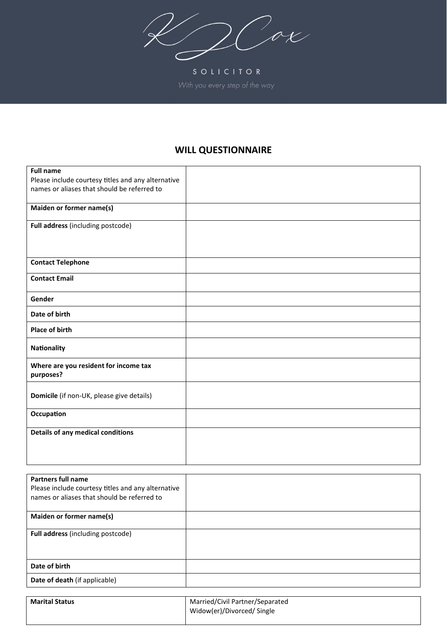$2\sqrt{20}$ 

SOLICITOR

## **WILL QUESTIONNAIRE**

| <b>Full name</b>                                   |  |
|----------------------------------------------------|--|
| Please include courtesy titles and any alternative |  |
| names or aliases that should be referred to        |  |
|                                                    |  |
| Maiden or former name(s)                           |  |
| Full address (including postcode)                  |  |
|                                                    |  |
|                                                    |  |
|                                                    |  |
| <b>Contact Telephone</b>                           |  |
| <b>Contact Email</b>                               |  |
|                                                    |  |
| Gender                                             |  |
| Date of birth                                      |  |
| <b>Place of birth</b>                              |  |
| Nationality                                        |  |
|                                                    |  |
| Where are you resident for income tax              |  |
| purposes?                                          |  |
|                                                    |  |
| Domicile (if non-UK, please give details)          |  |
|                                                    |  |
| Occupation                                         |  |
|                                                    |  |
| Details of any medical conditions                  |  |
|                                                    |  |
|                                                    |  |
|                                                    |  |

| Partners full name<br>Please include courtesy titles and any alternative<br>names or aliases that should be referred to |  |
|-------------------------------------------------------------------------------------------------------------------------|--|
| Maiden or former name(s)                                                                                                |  |
| <b>Full address</b> (including postcode)                                                                                |  |
| Date of birth                                                                                                           |  |
| Date of death (if applicable)                                                                                           |  |

| <b>Marital Status</b> | Married/Civil Partner/Separated |  |
|-----------------------|---------------------------------|--|
|                       | Widow(er)/Divorced/ Single      |  |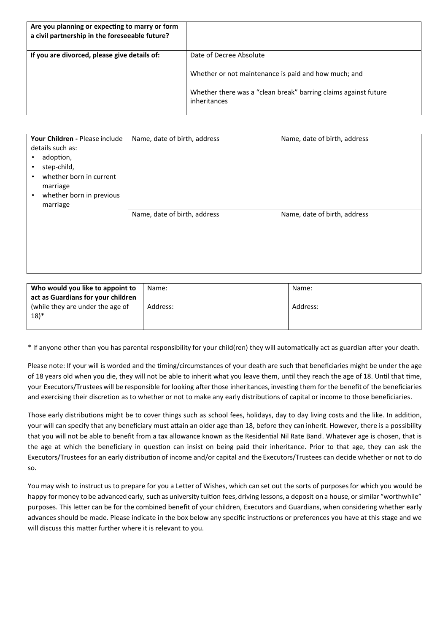| Are you planning or expecting to marry or form<br>a civil partnership in the foreseeable future? |                                                                                                                                                                    |
|--------------------------------------------------------------------------------------------------|--------------------------------------------------------------------------------------------------------------------------------------------------------------------|
| If you are divorced, please give details of:                                                     | Date of Decree Absolute<br>Whether or not maintenance is paid and how much; and<br>Whether there was a "clean break" barring claims against future<br>inheritances |

| Your Children - Please include<br>details such as:<br>adoption,<br>step-child,<br>whether born in current<br>marriage<br>whether born in previous<br>marriage | Name, date of birth, address | Name, date of birth, address |
|---------------------------------------------------------------------------------------------------------------------------------------------------------------|------------------------------|------------------------------|
|                                                                                                                                                               | Name, date of birth, address | Name, date of birth, address |

| Who would you like to appoint to   | Name:    | Name:    |
|------------------------------------|----------|----------|
| act as Guardians for your children |          |          |
| (while they are under the age of   | Address: | Address: |
| 18)*                               |          |          |
|                                    |          |          |

\* If anyone other than you has parental responsibility for your child(ren) they will automa�cally act as guardian a�er your death.

Please note: If your will is worded and the timing/circumstances of your death are such that beneficiaries might be under the age of 18 years old when you die, they will not be able to inherit what you leave them, until they reach the age of 18. Until that time, your Executors/Trustees will be responsible for looking after those inheritances, investing them for the benefit of the beneficiaries and exercising their discretion as to whether or not to make any early distributions of capital or income to those beneficiaries.

Those early distributions might be to cover things such as school fees, holidays, day to day living costs and the like. In addition, your will can specify that any beneficiary must attain an older age than 18, before they can inherit. However, there is a possibility that you will not be able to benefit from a tax allowance known as the Residential Nil Rate Band. Whatever age is chosen, that is the age at which the beneficiary in question can insist on being paid their inheritance. Prior to that age, they can ask the Executors/Trustees for an early distribution of income and/or capital and the Executors/Trustees can decide whether or not to do so.

You may wish to instruct us to prepare for you a Letter of Wishes, which can set out the sorts of purposesfor which you would be happy for money to be advanced early, such as university tuition fees, driving lessons, a deposit on a house, or similar "worthwhile" purposes. This letter can be for the combined benefit of your children, Executors and Guardians, when considering whether early advances should be made. Please indicate in the box below any specific instructions or preferences you have at this stage and we will discuss this matter further where it is relevant to you.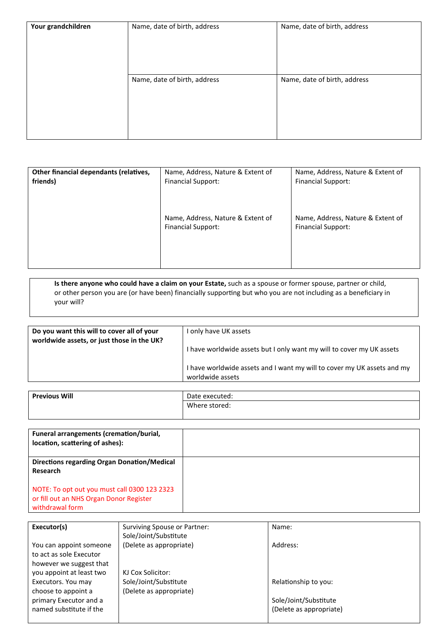| Your grandchildren | Name, date of birth, address | Name, date of birth, address |
|--------------------|------------------------------|------------------------------|
|                    | Name, date of birth, address | Name, date of birth, address |

| Other financial dependants (relatives, | Name, Address, Nature & Extent of                              | Name, Address, Nature & Extent of                              |
|----------------------------------------|----------------------------------------------------------------|----------------------------------------------------------------|
| friends)                               | <b>Financial Support:</b>                                      | <b>Financial Support:</b>                                      |
|                                        | Name, Address, Nature & Extent of<br><b>Financial Support:</b> | Name, Address, Nature & Extent of<br><b>Financial Support:</b> |

**Is there anyone who could have a claim on your Estate,** such as a spouse or former spouse, partner or child, or other person you are (or have been) financially supporting but who you are not including as a beneficiary in your will?

| Do you want this will to cover all of your<br>worldwide assets, or just those in the UK? | only have UK assets                                                                         |
|------------------------------------------------------------------------------------------|---------------------------------------------------------------------------------------------|
|                                                                                          | I have worldwide assets but I only want my will to cover my UK assets                       |
|                                                                                          | I have worldwide assets and I want my will to cover my UK assets and my<br>worldwide assets |

| <b>Previous Will</b> | Date executed: |
|----------------------|----------------|
|                      | Where stored:  |
|                      |                |

| Funeral arrangements (cremation/burial,<br>location, scattering of ashes):                                 |  |
|------------------------------------------------------------------------------------------------------------|--|
| Directions regarding Organ Donation/Medical<br>Research                                                    |  |
| NOTE: To opt out you must call 0300 123 2323<br>or fill out an NHS Organ Donor Register<br>withdrawal form |  |

| Executor(s)              | Surviving Spouse or Partner: | Name:                   |
|--------------------------|------------------------------|-------------------------|
|                          | Sole/Joint/Substitute        |                         |
| You can appoint someone  | (Delete as appropriate)      | Address:                |
| to act as sole Executor  |                              |                         |
| however we suggest that  |                              |                         |
| you appoint at least two | KJ Cox Solicitor:            |                         |
| Executors. You may       | Sole/Joint/Substitute        | Relationship to you:    |
| choose to appoint a      | (Delete as appropriate)      |                         |
| primary Executor and a   |                              | Sole/Joint/Substitute   |
| named substitute if the  |                              | (Delete as appropriate) |
|                          |                              |                         |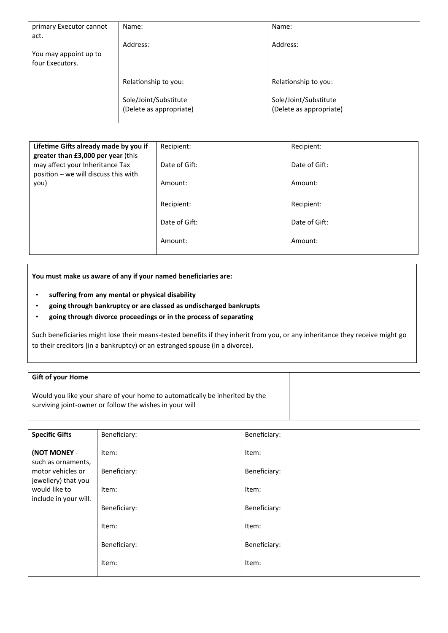| primary Executor cannot | Name:                   | Name:                   |
|-------------------------|-------------------------|-------------------------|
| act.                    |                         |                         |
|                         | Address:                | Address:                |
| You may appoint up to   |                         |                         |
| four Executors.         |                         |                         |
|                         | Relationship to you:    | Relationship to you:    |
|                         |                         |                         |
|                         | Sole/Joint/Substitute   | Sole/Joint/Substitute   |
|                         | (Delete as appropriate) | (Delete as appropriate) |
|                         |                         |                         |

| Lifetime Gifts already made by you if<br>greater than £3,000 per year (this | Recipient:    | Recipient:    |
|-----------------------------------------------------------------------------|---------------|---------------|
| may affect your Inheritance Tax<br>position - we will discuss this with     | Date of Gift: | Date of Gift: |
| you)                                                                        | Amount:       | Amount:       |
|                                                                             | Recipient:    | Recipient:    |
|                                                                             | Date of Gift: | Date of Gift: |
|                                                                             | Amount:       | Amount:       |

**You must make us aware of any if your named beneficiaries are:**

- **suffering from any mental or physical disability**
- **going through bankruptcy or are classed as undischarged bankrupts**
- **going through divorce proceedings or in the process of separa�ng**

Such beneficiaries might lose their means-tested benefits if they inherit from you, or any inheritance they receive might go to their creditors (in a bankruptcy) or an estranged spouse (in a divorce).

## **Gi� of your Home**

Would you like your share of your home to automatically be inherited by the surviving joint-owner or follow the wishes in your will

| <b>Specific Gifts</b>                                     | Beneficiary:          | Beneficiary:          |
|-----------------------------------------------------------|-----------------------|-----------------------|
| (NOT MONEY -<br>such as ornaments,                        | Item:                 | Item:                 |
| motor vehicles or<br>jewellery) that you<br>would like to | Beneficiary:<br>Item: | Beneficiary:<br>Item: |
| include in your will.                                     | Beneficiary:          | Beneficiary:          |
|                                                           | Item:                 | Item:                 |
|                                                           | Beneficiary:          | Beneficiary:          |
|                                                           | Item:                 | Item:                 |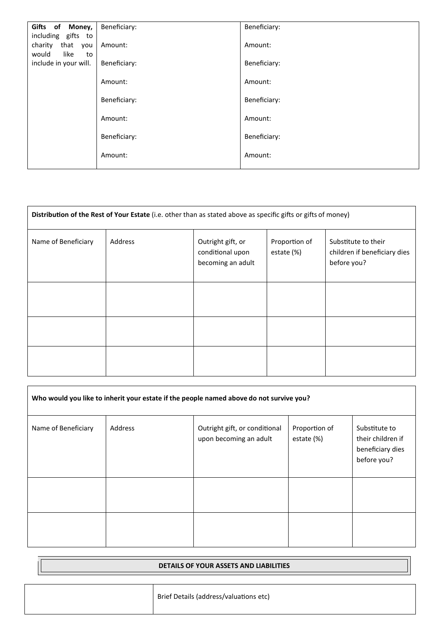| Gifts of Money,<br>including gifts to         | Beneficiary: | Beneficiary: |
|-----------------------------------------------|--------------|--------------|
| that<br>charity<br>you<br>like<br>would<br>to | Amount:      | Amount:      |
| include in your will.                         | Beneficiary: | Beneficiary: |
|                                               | Amount:      | Amount:      |
|                                               | Beneficiary: | Beneficiary: |
|                                               | Amount:      | Amount:      |
|                                               | Beneficiary: | Beneficiary: |
|                                               | Amount:      | Amount:      |

| Distribution of the Rest of Your Estate (i.e. other than as stated above as specific gifts or gifts of money) |         |                                                            |                             |                                                                    |
|---------------------------------------------------------------------------------------------------------------|---------|------------------------------------------------------------|-----------------------------|--------------------------------------------------------------------|
| Name of Beneficiary                                                                                           | Address | Outright gift, or<br>conditional upon<br>becoming an adult | Proportion of<br>estate (%) | Substitute to their<br>children if beneficiary dies<br>before you? |
|                                                                                                               |         |                                                            |                             |                                                                    |
|                                                                                                               |         |                                                            |                             |                                                                    |
|                                                                                                               |         |                                                            |                             |                                                                    |

| Who would you like to inherit your estate if the people named above do not survive you? |         |                                                         |                             |                                                                       |
|-----------------------------------------------------------------------------------------|---------|---------------------------------------------------------|-----------------------------|-----------------------------------------------------------------------|
| Name of Beneficiary                                                                     | Address | Outright gift, or conditional<br>upon becoming an adult | Proportion of<br>estate (%) | Substitute to<br>their children if<br>beneficiary dies<br>before you? |
|                                                                                         |         |                                                         |                             |                                                                       |
|                                                                                         |         |                                                         |                             |                                                                       |

| DETAILS OF YOUR ASSETS AND LIABILITIES |                                        |
|----------------------------------------|----------------------------------------|
|                                        | Brief Details (address/valuations etc) |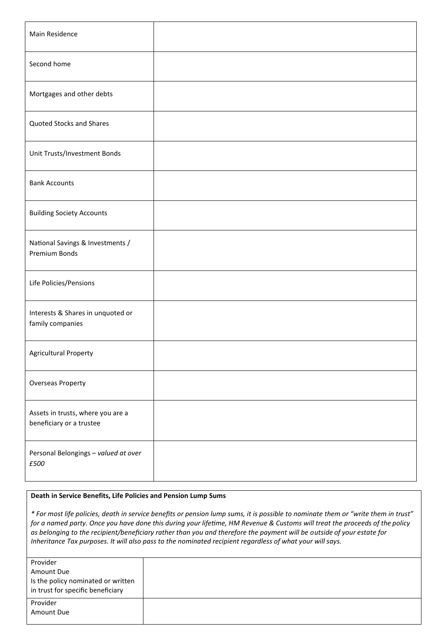| Main Residence                                                |  |
|---------------------------------------------------------------|--|
| Second home                                                   |  |
| Mortgages and other debts                                     |  |
| <b>Quoted Stocks and Shares</b>                               |  |
| Unit Trusts/Investment Bonds                                  |  |
| <b>Bank Accounts</b>                                          |  |
| <b>Building Society Accounts</b>                              |  |
| National Savings & Investments /<br>Premium Bonds             |  |
| Life Policies/Pensions                                        |  |
| Interests & Shares in unquoted or<br>family companies         |  |
| <b>Agricultural Property</b>                                  |  |
| Overseas Property                                             |  |
| Assets in trusts, where you are a<br>beneficiary or a trustee |  |
| Personal Belongings - valued at over<br>£500                  |  |

## **Death in Service Benefits, Life Policies and Pension Lump Sums**

*\* For most life policies, death in service benefits or pension lump sums, it is possible to nominate them or "write them in trust" for a named party. Once you have done this during your life�me, HM Revenue & Customs will treat the proceeds of the policy as belonging to the recipient/beneficiary rather than you and therefore the payment will be outside of your estate for Inheritance Tax purposes. It will also pass to the nominated recipient regardless of what your will says.*